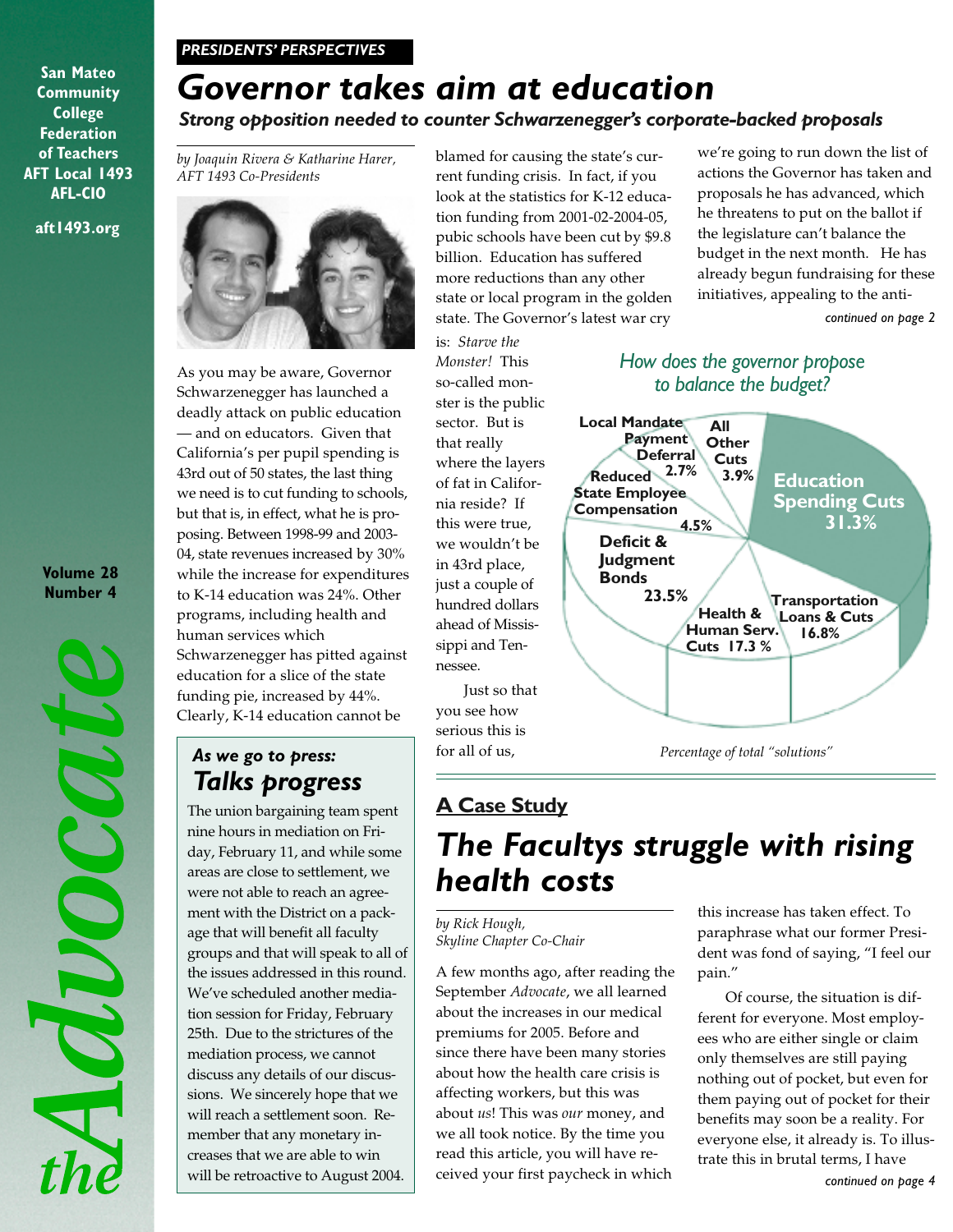#### *PRESIDENTS' PERSPECTIVES*

**aft1493.org San Mateo Community College Federation of Teachers AFT Local 1493 AFL-CIO**

#### **Volume 28 Number 4**

MOOCOCH

# *Governor takes aim at education*

## *Strong opposition needed to counter Schwarzenegger's corporate-backed proposals*

*by Joaquin Rivera & Katharine Harer, AFT 1493 Co-Presidents*



As you may be aware, Governor Schwarzenegger has launched a deadly attack on public education — and on educators. Given that California's per pupil spending is 43rd out of 50 states, the last thing we need is to cut funding to schools, but that is, in effect, what he is proposing. Between 1998-99 and 2003- 04, state revenues increased by 30% while the increase for expenditures to K-14 education was 24%. Other programs, including health and human services which Schwarzenegger has pitted against education for a slice of the state funding pie, increased by 44%. Clearly, K-14 education cannot be

## *As we go to press: Talks progress*

The union bargaining team spent nine hours in mediation on Friday, February 11, and while some areas are close to settlement, we were not able to reach an agreement with the District on a package that will benefit all faculty groups and that will speak to all of the issues addressed in this round. We've scheduled another mediation session for Friday, February 25th. Due to the strictures of the mediation process, we cannot discuss any details of our discussions. We sincerely hope that we will reach a settlement soon. Remember that any monetary increases that we are able to win will be retroactive to August 2004.

blamed for causing the state's current funding crisis. In fact, if you look at the statistics for K-12 education funding from 2001-02-2004-05, pubic schools have been cut by \$9.8 billion. Education has suffered more reductions than any other state or local program in the golden state. The Governor's latest war cry

is: *Starve the Monster!* This so-called monster is the public sector. But is that really where the layers of fat in California reside? If this were true, we wouldn't be in 43rd place, just a couple of hundred dollars ahead of Mississippi and Tennessee.

Just so that you see how serious this is for all of us,

## **A Case Study**

# *The Facultys struggle with rising health costs*

#### *by Rick Hough, Skyline Chapter Co-Chair*

A few months ago, after reading the September *Advocate*, we all learned about the increases in our medical premiums for 2005. Before and since there have been many stories about how the health care crisis is affecting workers, but this was about *us*! This was *our* money, and we all took notice. By the time you read this article, you will have received your first paycheck in which

we're going to run down the list of actions the Governor has taken and proposals he has advanced, which he threatens to put on the ballot if the legislature can't balance the budget in the next month. He has already begun fundraising for these initiatives, appealing to the anti-

*continued on page 2*

#### *How does the governor propose to balance the budget?*



this increase has taken effect. To paraphrase what our former President was fond of saying, "I feel our pain."

Of course, the situation is different for everyone. Most employees who are either single or claim only themselves are still paying nothing out of pocket, but even for them paying out of pocket for their benefits may soon be a reality. For everyone else, it already is. To illustrate this in brutal terms, I have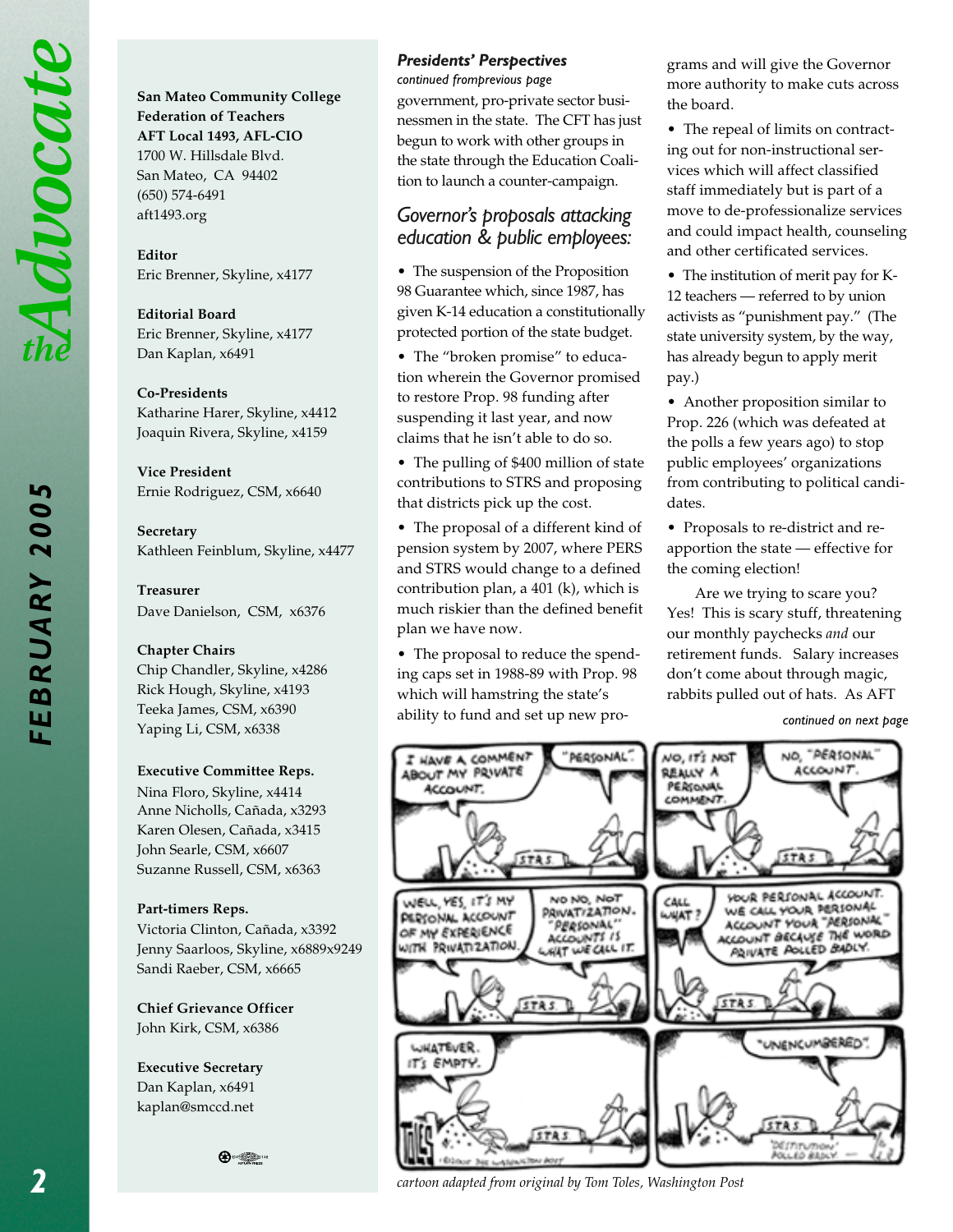Advocate

**San Mateo Community College Federation of Teachers AFT Local 1493, AFL-CIO** 1700 W. Hillsdale Blvd. San Mateo, CA 94402 (650) 574-6491 aft1493.org

**Editor** Eric Brenner, Skyline, x4177

**Editorial Board** Eric Brenner, Skyline, x4177 Dan Kaplan, x6491

#### **Co-Presidents**

Katharine Harer, Skyline, x4412 Joaquin Rivera, Skyline, x4159

**Vice President** Ernie Rodriguez, CSM, x6640

**Secretary** Kathleen Feinblum, Skyline, x4477

#### **Treasurer**

Dave Danielson, CSM, x6376

#### **Chapter Chairs**

Chip Chandler, Skyline, x4286 Rick Hough, Skyline, x4193 Teeka James, CSM, x6390 Yaping Li, CSM, x6338

#### **Executive Committee Reps.**

Nina Floro, Skyline, x4414 Anne Nicholls, Cañada, x3293 Karen Olesen, Cañada, x3415 John Searle, CSM, x6607 Suzanne Russell, CSM, x6363

#### **Part-timers Reps.**

Victoria Clinton, Cañada, x3392 Jenny Saarloos, Skyline, x6889x9249 Sandi Raeber, CSM, x6665

**Chief Grievance Officer** John Kirk, CSM, x6386

**Executive Secretary** Dan Kaplan, x6491 kaplan@smccd.net

**⊕** 

#### *Presidents' Perspectives*

*continued fromprevious page*

government, pro-private sector businessmen in the state. The CFT has just begun to work with other groups in the state through the Education Coalition to launch a counter-campaign.

#### *Governor's proposals attacking education & public employees:*

• The suspension of the Proposition 98 Guarantee which, since 1987, has given K-14 education a constitutionally protected portion of the state budget.

• The "broken promise" to education wherein the Governor promised to restore Prop. 98 funding after suspending it last year, and now claims that he isn't able to do so.

• The pulling of \$400 million of state contributions to STRS and proposing that districts pick up the cost.

• The proposal of a different kind of pension system by 2007, where PERS and STRS would change to a defined contribution plan, a 401 (k), which is much riskier than the defined benefit plan we have now.

• The proposal to reduce the spending caps set in 1988-89 with Prop. 98 which will hamstring the state's ability to fund and set up new programs and will give the Governor more authority to make cuts across the board.

• The repeal of limits on contracting out for non-instructional services which will affect classified staff immediately but is part of a move to de-professionalize services and could impact health, counseling and other certificated services.

• The institution of merit pay for K-12 teachers — referred to by union activists as "punishment pay." (The state university system, by the way, has already begun to apply merit pay.)

• Another proposition similar to Prop. 226 (which was defeated at the polls a few years ago) to stop public employees' organizations from contributing to political candidates.

• Proposals to re-district and reapportion the state — effective for the coming election!

Are we trying to scare you? Yes! This is scary stuff, threatening our monthly paychecks *and* our retirement funds. Salary increases don't come about through magic, rabbits pulled out of hats. As AFT

*continued on next page*



*cartoon adapted from original by Tom Toles, Washington Post*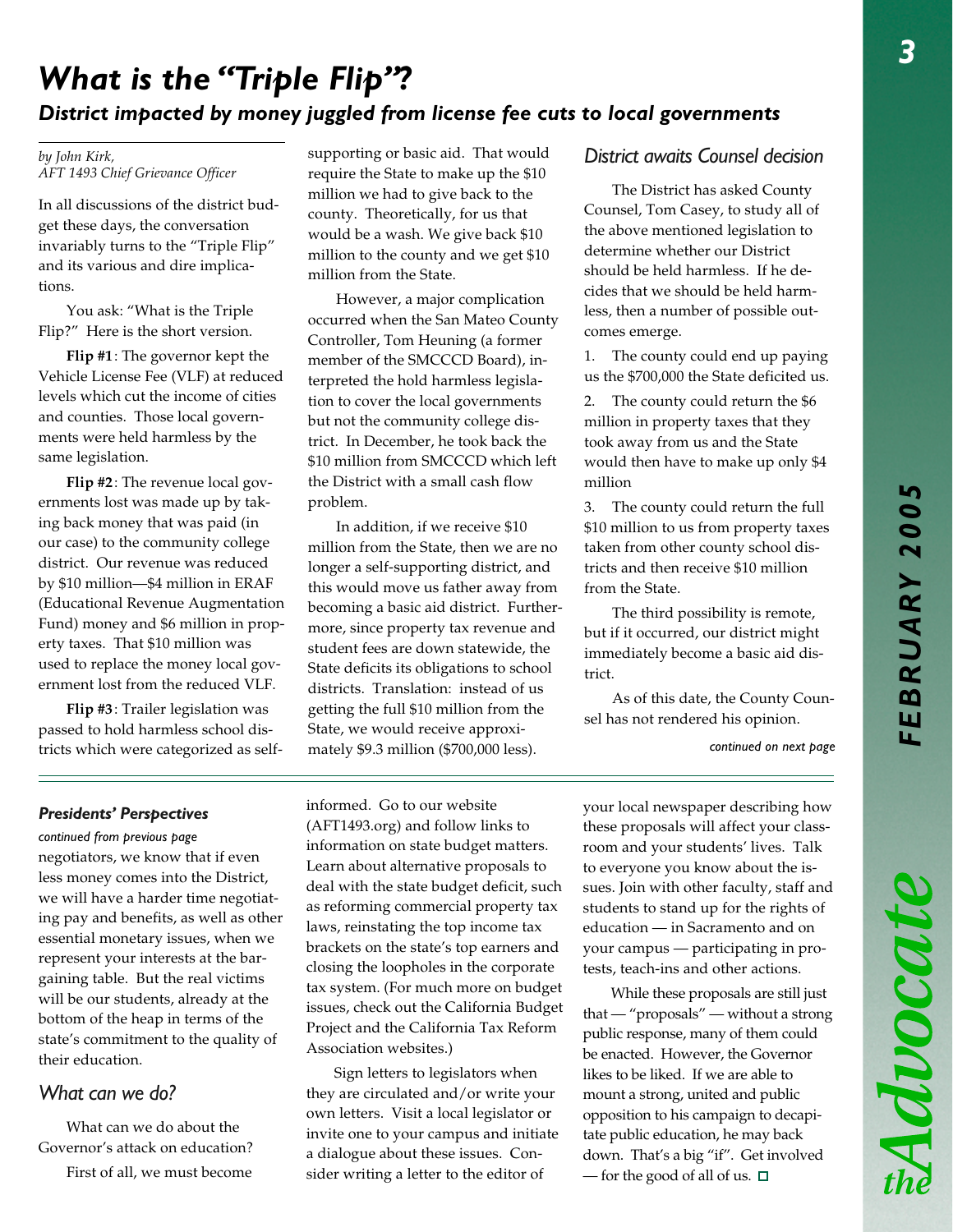Advocate

## *What is the "Triple Flip"? District impacted by money juggled from license fee cuts to local governments*

*by John Kirk, AFT 1493 Chief Grievance Officer*

In all discussions of the district budget these days, the conversation invariably turns to the "Triple Flip" and its various and dire implications.

You ask: "What is the Triple Flip?" Here is the short version.

**Flip #1**: The governor kept the Vehicle License Fee (VLF) at reduced levels which cut the income of cities and counties. Those local governments were held harmless by the same legislation.

**Flip #2**: The revenue local governments lost was made up by taking back money that was paid (in our case) to the community college district. Our revenue was reduced by \$10 million—\$4 million in ERAF (Educational Revenue Augmentation Fund) money and \$6 million in property taxes. That \$10 million was used to replace the money local government lost from the reduced VLF.

**Flip #3**: Trailer legislation was passed to hold harmless school districts which were categorized as selfsupporting or basic aid. That would require the State to make up the \$10 million we had to give back to the county. Theoretically, for us that would be a wash. We give back \$10 million to the county and we get \$10 million from the State.

However, a major complication occurred when the San Mateo County Controller, Tom Heuning (a former member of the SMCCCD Board), interpreted the hold harmless legislation to cover the local governments but not the community college district. In December, he took back the \$10 million from SMCCCD which left the District with a small cash flow problem.

In addition, if we receive \$10 million from the State, then we are no longer a self-supporting district, and this would move us father away from becoming a basic aid district. Furthermore, since property tax revenue and student fees are down statewide, the State deficits its obligations to school districts. Translation: instead of us getting the full \$10 million from the State, we would receive approximately \$9.3 million (\$700,000 less).

### *District awaits Counsel decision*

The District has asked County Counsel, Tom Casey, to study all of the above mentioned legislation to determine whether our District should be held harmless. If he decides that we should be held harmless, then a number of possible outcomes emerge.

1. The county could end up paying us the \$700,000 the State deficited us.

2. The county could return the \$6 million in property taxes that they took away from us and the State would then have to make up only \$4 million

3. The county could return the full \$10 million to us from property taxes taken from other county school districts and then receive \$10 million from the State.

The third possibility is remote, but if it occurred, our district might immediately become a basic aid district.

As of this date, the County Counsel has not rendered his opinion.

*continued on next page*

#### *Presidents' Perspectives*

*continued from previous page*

negotiators, we know that if even less money comes into the District, we will have a harder time negotiating pay and benefits, as well as other essential monetary issues, when we represent your interests at the bargaining table. But the real victims will be our students, already at the bottom of the heap in terms of the state's commitment to the quality of their education.

### *What can we do?*

What can we do about the Governor's attack on education? First of all, we must become

informed. Go to our website (AFT1493.org) and follow links to information on state budget matters. Learn about alternative proposals to deal with the state budget deficit, such as reforming commercial property tax laws, reinstating the top income tax brackets on the state's top earners and closing the loopholes in the corporate tax system. (For much more on budget issues, check out the California Budget Project and the California Tax Reform Association websites.)

Sign letters to legislators when they are circulated and/or write your own letters. Visit a local legislator or invite one to your campus and initiate a dialogue about these issues. Consider writing a letter to the editor of

your local newspaper describing how these proposals will affect your classroom and your students' lives. Talk to everyone you know about the issues. Join with other faculty, staff and students to stand up for the rights of education — in Sacramento and on your campus — participating in protests, teach-ins and other actions.

While these proposals are still just that — "proposals" — without a strong public response, many of them could be enacted. However, the Governor likes to be liked. If we are able to mount a strong, united and public opposition to his campaign to decapitate public education, he may back down. That's a big "if". Get involved — for the good of all of us.  $\square$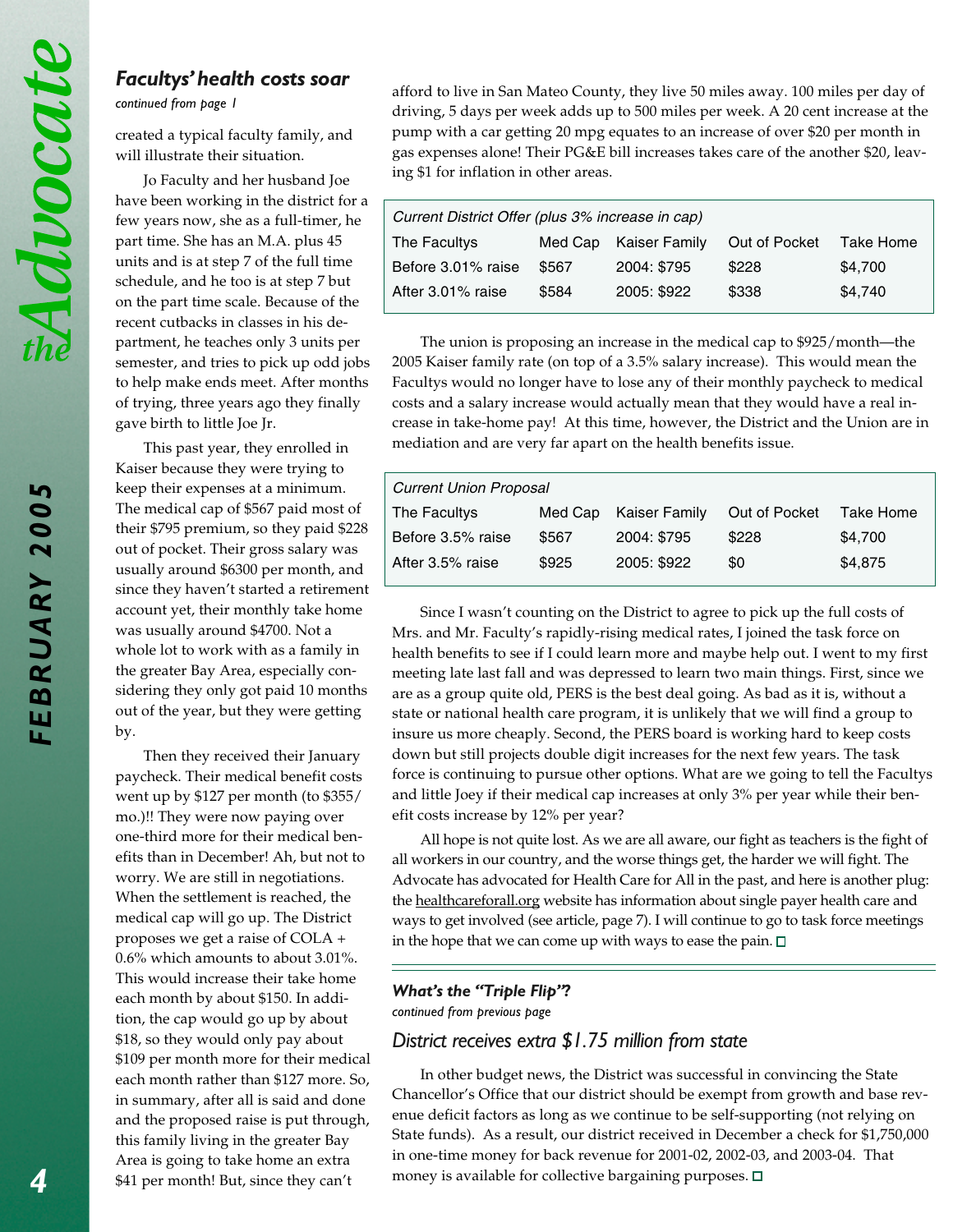*FEBRUARY 2005*

FEBRUARY 2005

#### *Facultys' health costs soar*

*continued from page 1*

created a typical faculty family, and will illustrate their situation.

Jo Faculty and her husband Joe have been working in the district for a few years now, she as a full-timer, he part time. She has an M.A. plus 45 units and is at step 7 of the full time schedule, and he too is at step 7 but on the part time scale. Because of the recent cutbacks in classes in his department, he teaches only 3 units per semester, and tries to pick up odd jobs to help make ends meet. After months of trying, three years ago they finally gave birth to little Joe Jr.

This past year, they enrolled in Kaiser because they were trying to keep their expenses at a minimum. The medical cap of \$567 paid most of their \$795 premium, so they paid \$228 out of pocket. Their gross salary was usually around \$6300 per month, and since they haven't started a retirement account yet, their monthly take home was usually around \$4700. Not a whole lot to work with as a family in the greater Bay Area, especially considering they only got paid 10 months out of the year, but they were getting by.

Then they received their January paycheck. Their medical benefit costs went up by \$127 per month (to \$355/ mo.)!! They were now paying over one-third more for their medical benefits than in December! Ah, but not to worry. We are still in negotiations. When the settlement is reached, the medical cap will go up. The District proposes we get a raise of COLA + 0.6% which amounts to about 3.01%. This would increase their take home each month by about \$150. In addition, the cap would go up by about \$18, so they would only pay about \$109 per month more for their medical each month rather than \$127 more. So, in summary, after all is said and done and the proposed raise is put through, this family living in the greater Bay Area is going to take home an extra \$41 per month! But, since they can't

afford to live in San Mateo County, they live 50 miles away. 100 miles per day of driving, 5 days per week adds up to 500 miles per week. A 20 cent increase at the pump with a car getting 20 mpg equates to an increase of over \$20 per month in gas expenses alone! Their PG&E bill increases takes care of the another \$20, leaving \$1 for inflation in other areas.

| Current District Offer (plus 3% increase in cap) |       |                       |               |           |  |  |
|--------------------------------------------------|-------|-----------------------|---------------|-----------|--|--|
| The Facultys                                     |       | Med Cap Kaiser Family | Out of Pocket | Take Home |  |  |
| Before 3.01% raise                               | \$567 | 2004: \$795           | \$228         | \$4.700   |  |  |
| After 3.01% raise                                | \$584 | 2005: \$922           | \$338         | \$4,740   |  |  |

The union is proposing an increase in the medical cap to \$925/month—the 2005 Kaiser family rate (on top of a 3.5% salary increase). This would mean the Facultys would no longer have to lose any of their monthly paycheck to medical costs and a salary increase would actually mean that they would have a real increase in take-home pay! At this time, however, the District and the Union are in mediation and are very far apart on the health benefits issue.

| <b>Current Union Proposal</b> |         |               |               |           |  |  |
|-------------------------------|---------|---------------|---------------|-----------|--|--|
| The Facultys                  | Med Cap | Kaiser Family | Out of Pocket | Take Home |  |  |
| Before 3.5% raise             | \$567   | 2004: \$795   | \$228         | \$4,700   |  |  |
| After 3.5% raise              | \$925   | 2005: \$922   | \$0           | \$4,875   |  |  |

Since I wasn't counting on the District to agree to pick up the full costs of Mrs. and Mr. Faculty's rapidly-rising medical rates, I joined the task force on health benefits to see if I could learn more and maybe help out. I went to my first meeting late last fall and was depressed to learn two main things. First, since we are as a group quite old, PERS is the best deal going. As bad as it is, without a state or national health care program, it is unlikely that we will find a group to insure us more cheaply. Second, the PERS board is working hard to keep costs down but still projects double digit increases for the next few years. The task force is continuing to pursue other options. What are we going to tell the Facultys and little Joey if their medical cap increases at only 3% per year while their benefit costs increase by 12% per year?

All hope is not quite lost. As we are all aware, our fight as teachers is the fight of all workers in our country, and the worse things get, the harder we will fight. The Advocate has advocated for Health Care for All in the past, and here is another plug: the healthcareforall.org website has information about single payer health care and ways to get involved (see article, page 7). I will continue to go to task force meetings in the hope that we can come up with ways to ease the pain.  $\square$ 

#### *What's the "Triple Flip"?*

*continued from previous page*

#### *District receives extra \$1.75 million from state*

In other budget news, the District was successful in convincing the State Chancellor's Office that our district should be exempt from growth and base revenue deficit factors as long as we continue to be self-supporting (not relying on State funds). As a result, our district received in December a check for \$1,750,000 in one-time money for back revenue for 2001-02, 2002-03, and 2003-04. That money is available for collective bargaining purposes.  $\square$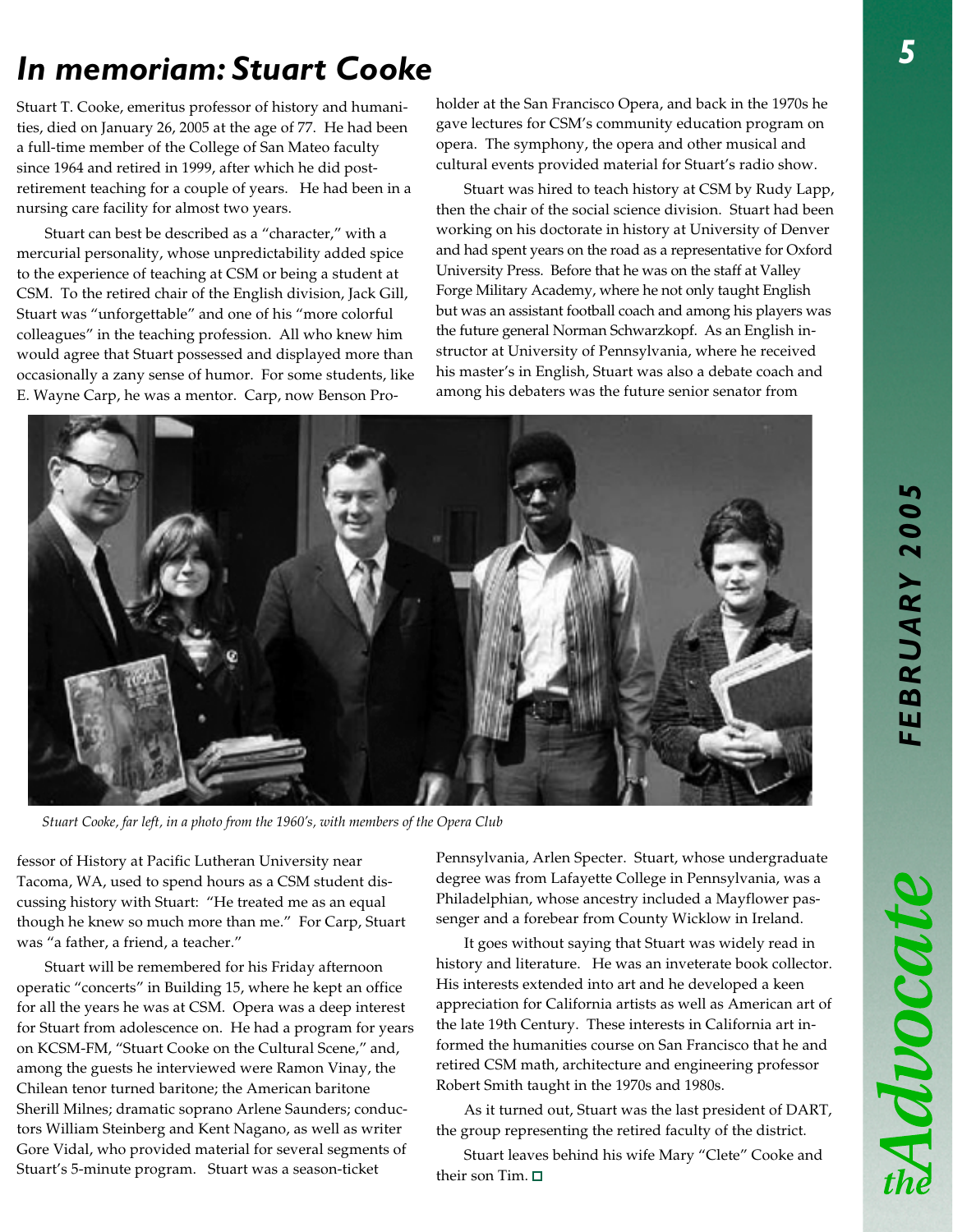Advocat

# *In memoriam: Stuart Cooke*

Stuart T. Cooke, emeritus professor of history and humanities, died on January 26, 2005 at the age of 77. He had been a full-time member of the College of San Mateo faculty since 1964 and retired in 1999, after which he did postretirement teaching for a couple of years. He had been in a nursing care facility for almost two years.

Stuart can best be described as a "character," with a mercurial personality, whose unpredictability added spice to the experience of teaching at CSM or being a student at CSM. To the retired chair of the English division, Jack Gill, Stuart was "unforgettable" and one of his "more colorful colleagues" in the teaching profession. All who knew him would agree that Stuart possessed and displayed more than occasionally a zany sense of humor. For some students, like E. Wayne Carp, he was a mentor. Carp, now Benson Proholder at the San Francisco Opera, and back in the 1970s he gave lectures for CSM's community education program on opera. The symphony, the opera and other musical and cultural events provided material for Stuart's radio show.

Stuart was hired to teach history at CSM by Rudy Lapp, then the chair of the social science division. Stuart had been working on his doctorate in history at University of Denver and had spent years on the road as a representative for Oxford University Press. Before that he was on the staff at Valley Forge Military Academy, where he not only taught English but was an assistant football coach and among his players was the future general Norman Schwarzkopf. As an English instructor at University of Pennsylvania, where he received his master's in English, Stuart was also a debate coach and among his debaters was the future senior senator from



*Stuart Cooke, far left, in a photo from the 1960's, with members of the Opera Club*

fessor of History at Pacific Lutheran University near Tacoma, WA, used to spend hours as a CSM student discussing history with Stuart: "He treated me as an equal though he knew so much more than me." For Carp, Stuart was "a father, a friend, a teacher."

Stuart will be remembered for his Friday afternoon operatic "concerts" in Building 15, where he kept an office for all the years he was at CSM. Opera was a deep interest for Stuart from adolescence on. He had a program for years on KCSM-FM, "Stuart Cooke on the Cultural Scene," and, among the guests he interviewed were Ramon Vinay, the Chilean tenor turned baritone; the American baritone Sherill Milnes; dramatic soprano Arlene Saunders; conductors William Steinberg and Kent Nagano, as well as writer Gore Vidal, who provided material for several segments of Stuart's 5-minute program. Stuart was a season-ticket

Pennsylvania, Arlen Specter. Stuart, whose undergraduate degree was from Lafayette College in Pennsylvania, was a Philadelphian, whose ancestry included a Mayflower passenger and a forebear from County Wicklow in Ireland.

It goes without saying that Stuart was widely read in history and literature. He was an inveterate book collector. His interests extended into art and he developed a keen appreciation for California artists as well as American art of the late 19th Century. These interests in California art informed the humanities course on San Francisco that he and retired CSM math, architecture and engineering professor Robert Smith taught in the 1970s and 1980s.

As it turned out, Stuart was the last president of DART, the group representing the retired faculty of the district.

Stuart leaves behind his wife Mary "Clete" Cooke and their son Tim.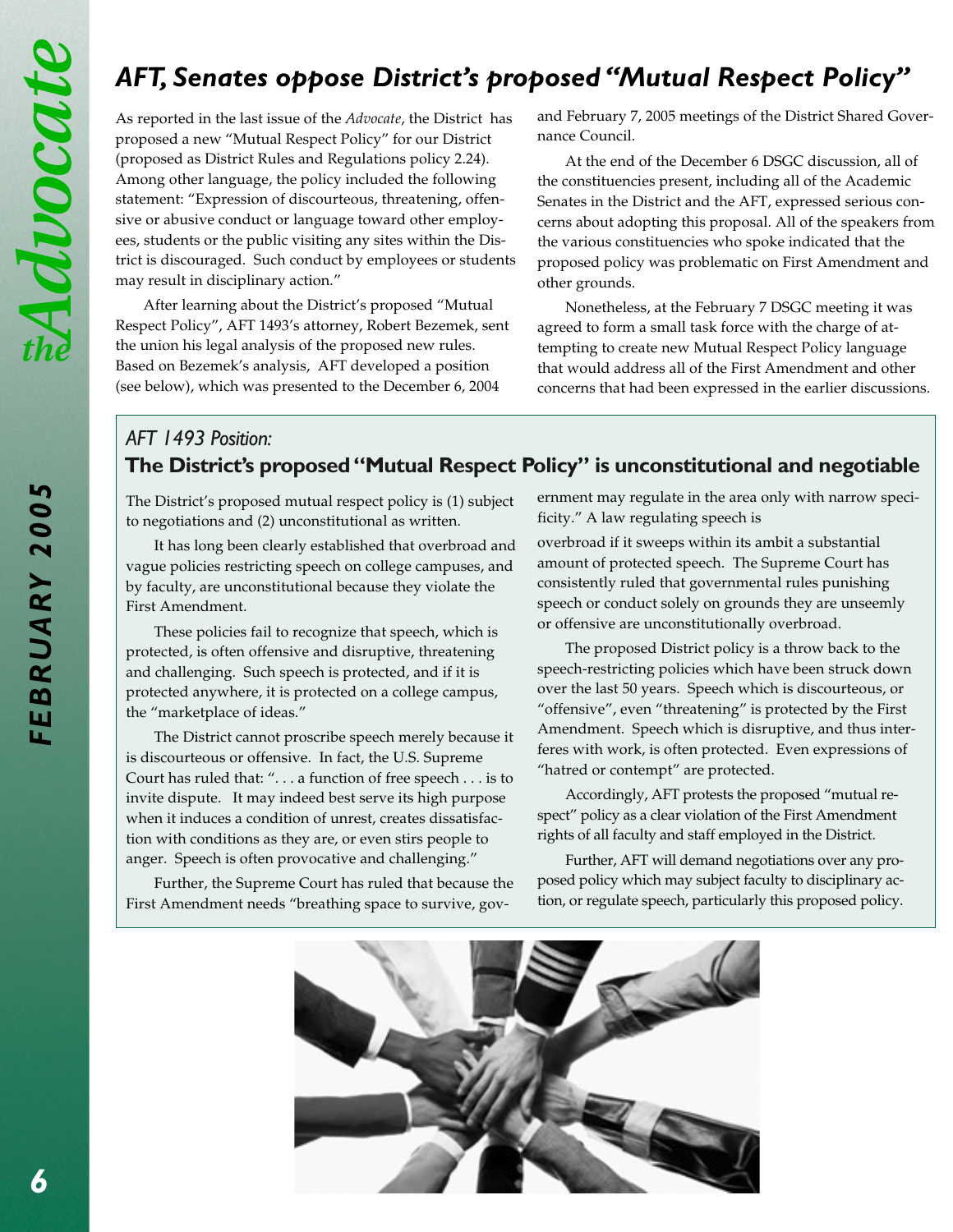## *AFT, Senates oppose District's proposed "Mutual Respect Policy"*

As reported in the last issue of the *Advocate*, the District has proposed a new "Mutual Respect Policy" for our District (proposed as District Rules and Regulations policy 2.24). Among other language, the policy included the following statement: "Expression of discourteous, threatening, offensive or abusive conduct or language toward other employees, students or the public visiting any sites within the District is discouraged. Such conduct by employees or students may result in disciplinary action."

After learning about the District's proposed "Mutual Respect Policy", AFT 1493's attorney, Robert Bezemek, sent the union his legal analysis of the proposed new rules. Based on Bezemek's analysis, AFT developed a position (see below), which was presented to the December 6, 2004

and February 7, 2005 meetings of the District Shared Governance Council.

At the end of the December 6 DSGC discussion, all of the constituencies present, including all of the Academic Senates in the District and the AFT, expressed serious concerns about adopting this proposal. All of the speakers from the various constituencies who spoke indicated that the proposed policy was problematic on First Amendment and other grounds.

Nonetheless, at the February 7 DSGC meeting it was agreed to form a small task force with the charge of attempting to create new Mutual Respect Policy language that would address all of the First Amendment and other concerns that had been expressed in the earlier discussions.

## **The District's proposed "Mutual Respect Policy" is unconstitutional and negotiable** *AFT 1493 Position:*

The District's proposed mutual respect policy is (1) subject to negotiations and (2) unconstitutional as written.

It has long been clearly established that overbroad and vague policies restricting speech on college campuses, and by faculty, are unconstitutional because they violate the First Amendment.

These policies fail to recognize that speech, which is protected, is often offensive and disruptive, threatening and challenging. Such speech is protected, and if it is protected anywhere, it is protected on a college campus, the "marketplace of ideas."

The District cannot proscribe speech merely because it is discourteous or offensive. In fact, the U.S. Supreme Court has ruled that: ". . . a function of free speech . . . is to invite dispute. It may indeed best serve its high purpose when it induces a condition of unrest, creates dissatisfaction with conditions as they are, or even stirs people to anger. Speech is often provocative and challenging."

Further, the Supreme Court has ruled that because the First Amendment needs "breathing space to survive, government may regulate in the area only with narrow specificity." A law regulating speech is

overbroad if it sweeps within its ambit a substantial amount of protected speech. The Supreme Court has consistently ruled that governmental rules punishing speech or conduct solely on grounds they are unseemly or offensive are unconstitutionally overbroad.

The proposed District policy is a throw back to the speech-restricting policies which have been struck down over the last 50 years. Speech which is discourteous, or "offensive", even "threatening" is protected by the First Amendment. Speech which is disruptive, and thus interferes with work, is often protected. Even expressions of "hatred or contempt" are protected.

Accordingly, AFT protests the proposed "mutual respect" policy as a clear violation of the First Amendment rights of all faculty and staff employed in the District.

Further, AFT will demand negotiations over any proposed policy which may subject faculty to disciplinary action, or regulate speech, particularly this proposed policy.

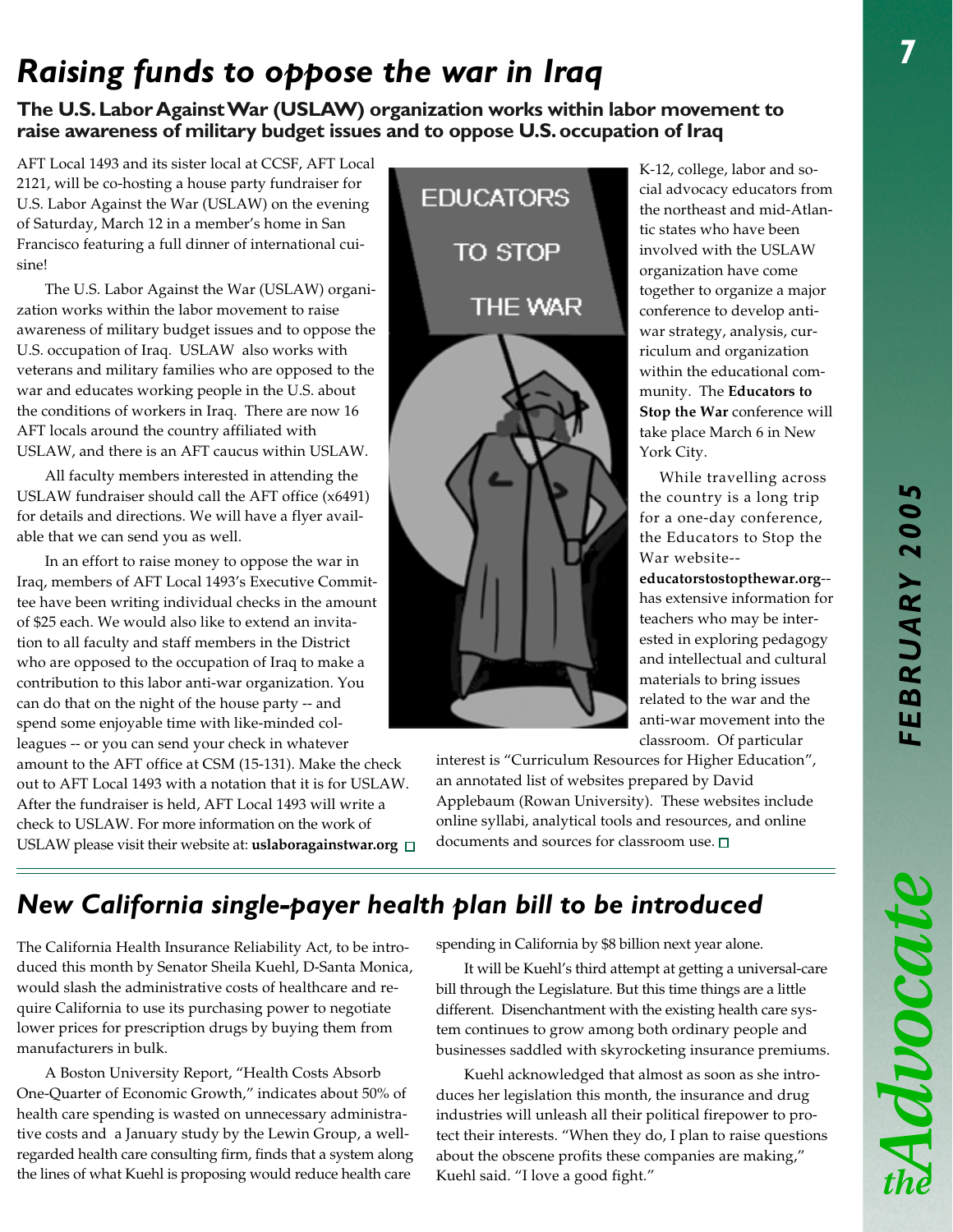Advocat

# *Raising funds to oppose the war in Iraq*

#### **The U.S. Labor Against War (USLAW) organization works within labor movement to raise awareness of military budget issues and to oppose U.S. occupation of Iraq**

AFT Local 1493 and its sister local at CCSF, AFT Local 2121, will be co-hosting a house party fundraiser for U.S. Labor Against the War (USLAW) on the evening of Saturday, March 12 in a member's home in San Francisco featuring a full dinner of international cuisine!

The U.S. Labor Against the War (USLAW) organization works within the labor movement to raise awareness of military budget issues and to oppose the U.S. occupation of Iraq. USLAW also works with veterans and military families who are opposed to the war and educates working people in the U.S. about the conditions of workers in Iraq. There are now 16 AFT locals around the country affiliated with USLAW, and there is an AFT caucus within USLAW.

All faculty members interested in attending the USLAW fundraiser should call the AFT office (x6491) for details and directions. We will have a flyer available that we can send you as well.

In an effort to raise money to oppose the war in Iraq, members of AFT Local 1493's Executive Committee have been writing individual checks in the amount of \$25 each. We would also like to extend an invitation to all faculty and staff members in the District who are opposed to the occupation of Iraq to make a contribution to this labor anti-war organization. You can do that on the night of the house party -- and spend some enjoyable time with like-minded colleagues -- or you can send your check in whatever amount to the AFT office at CSM (15-131). Make the check out to AFT Local 1493 with a notation that it is for USLAW. After the fundraiser is held, AFT Local 1493 will write a check to USLAW. For more information on the work of USLAW please visit their website at: **uslaboragainstwar.org** 



K-12, college, labor and social advocacy educators from the northeast and mid-Atlantic states who have been involved with the USLAW organization have come together to organize a major conference to develop antiwar strategy, analysis, curriculum and organization within the educational community. The **Educators to Stop the War** conference will take place March 6 in New York City.

While travelling across the country is a long trip for a one-day conference, the Educators to Stop the War website--

**educatorstostopthewar.org**- has extensive information for teachers who may be interested in exploring pedagogy and intellectual and cultural materials to bring issues related to the war and the anti-war movement into the classroom. Of particular

interest is "Curriculum Resources for Higher Education", an annotated list of websites prepared by David Applebaum (Rowan University). These websites include online syllabi, analytical tools and resources, and online documents and sources for classroom use.  $\square$ 

## *New California single-payer health plan bill to be introduced*

The California Health Insurance Reliability Act, to be introduced this month by Senator Sheila Kuehl, D-Santa Monica, would slash the administrative costs of healthcare and require California to use its purchasing power to negotiate lower prices for prescription drugs by buying them from manufacturers in bulk.

A Boston University Report, "Health Costs Absorb One-Quarter of Economic Growth," indicates about 50% of health care spending is wasted on unnecessary administrative costs and a January study by the Lewin Group, a wellregarded health care consulting firm, finds that a system along the lines of what Kuehl is proposing would reduce health care

spending in California by \$8 billion next year alone.

It will be Kuehl's third attempt at getting a universal-care bill through the Legislature. But this time things are a little different. Disenchantment with the existing health care system continues to grow among both ordinary people and businesses saddled with skyrocketing insurance premiums.

Kuehl acknowledged that almost as soon as she introduces her legislation this month, the insurance and drug industries will unleash all their political firepower to protect their interests. "When they do, I plan to raise questions about the obscene profits these companies are making," Kuehl said. "I love a good fight."